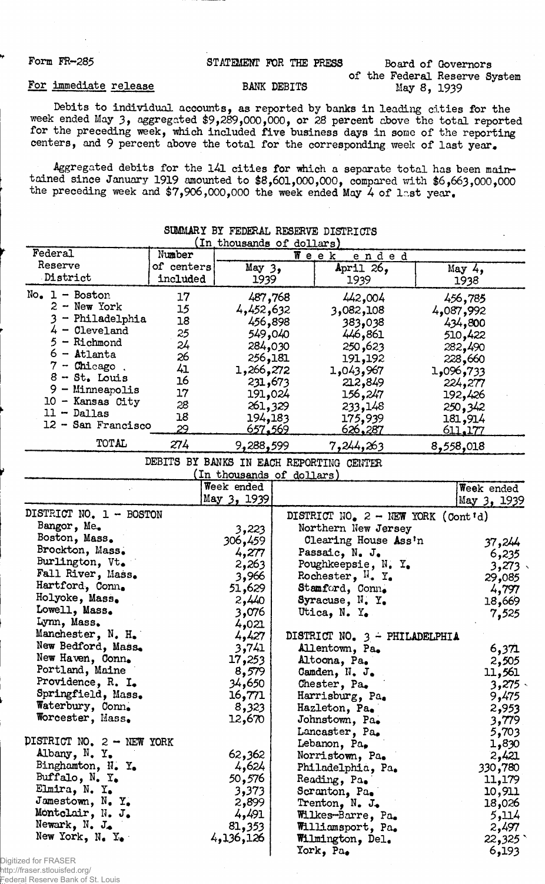## Form FR-285 STATEMENT FOR THE PRESS Board of Governors of the Federal Reserve System<br>May 8, 1939

## For immediate release BANK DEBITS

Debits to individual accounts, as reported by banks in leading cities for the week ended May 3, aggregated \$9,289,000,000, or 28 percent above the total reported for the preceding week, which included five business days in some of the reporting centers, and 9 percent above the total for the corresponding week of last year,

Aggregated debits for the l4l cities for which a separate total has been maintained since January 1919 amounted to \$8,601,000,000, compared with \$6,663,000,000 the preceding week and  $7,906,000,000$  the week ended May 4 of last year.

| (In thousands of dollars)                |            |                           |  |                                      |  |                |  |  |
|------------------------------------------|------------|---------------------------|--|--------------------------------------|--|----------------|--|--|
| Federal                                  | Number     | Week<br>ended             |  |                                      |  |                |  |  |
| Reserve                                  | of centers | May <sub>3</sub>          |  | April 26,                            |  | May $4,$       |  |  |
| District                                 | included   | 1939                      |  | 1939                                 |  | 1938           |  |  |
| $No. 1 - Boston$                         | 17         | 487,768                   |  | 442,004                              |  | 456,785        |  |  |
| $2 - New York$                           | 15         | 4,452,632                 |  |                                      |  |                |  |  |
| - Philadelphia                           | 18         |                           |  | 3,082,108                            |  | 4,087,992      |  |  |
| $4 -$ Cleveland                          | 25         | 456,898                   |  | 383,038                              |  | 434,800        |  |  |
| - Richmond<br>5.                         | 24         | 549,040                   |  | 446,861                              |  | 510,422        |  |  |
| $6 -$ Atlanta                            |            | 284,030                   |  | 250,623                              |  | 282,490        |  |  |
| $7$ - Chicago.                           | 26         | 256,181                   |  | 191,192                              |  | 228,660        |  |  |
| $8 - St.$ Louis                          | 41         | 272, 266, 1               |  | 1,043,967                            |  | 733و00و1       |  |  |
| $9 -$ Minneapolis                        | 16         | 231,673                   |  | 212,849                              |  | 224,277        |  |  |
| $10$ - Kansas City                       | 17         | 191,024                   |  | 156,247                              |  | 192,426        |  |  |
| $11 -$ Dallas                            | 28         | 261,329                   |  | 233,148                              |  | 250,342        |  |  |
| 12 - San Francisco                       | 18         | 194,183                   |  | 175,939                              |  | 181,914        |  |  |
|                                          | 29         | 657,569                   |  | <u>626,287</u>                       |  | <u>611.177</u> |  |  |
| TOTAL                                    | 274        | 9,288,599                 |  | 7,244,263                            |  | 8,558,018      |  |  |
| DEBITS BY BANKS IN EACH REPORTING CENTER |            |                           |  |                                      |  |                |  |  |
|                                          |            | (In thousands of dollars) |  |                                      |  |                |  |  |
|                                          |            | Week ended                |  |                                      |  | Week ended     |  |  |
|                                          |            | May 3, 1939               |  |                                      |  | May 3, 1939    |  |  |
| DISTRICT NO. 1 - BOSTON                  |            |                           |  | DISTRICT NO. $2 - NEW$ YORK (Cont'd) |  |                |  |  |
| Bangor, Me.                              |            | 3,223                     |  | Northern New Jersey                  |  |                |  |  |
| Boston, Mass.                            |            | 306,459                   |  | Clearing House Ass'n                 |  | 37,244         |  |  |
| Brockton, Mass.                          |            | 4,277                     |  | Passaic, N. J.                       |  |                |  |  |
| Burlington, Vt.                          |            | 2,263                     |  | Poughkeepsie, N. Y.                  |  | 6,235          |  |  |
| Fall River, Mass.                        |            | 3,966                     |  | Rochester, $N_a$ Y.                  |  | 3,273.         |  |  |
| Hartford, Conn.                          |            | 51,629                    |  | Stamford, Conn.                      |  | 29,085         |  |  |
| Holyoke, Mass.                           |            | 2,440                     |  | Syracuse, N.Y.                       |  | 4,797          |  |  |
| Lowell, Mass.                            |            |                           |  |                                      |  | 18,669         |  |  |
| Lynn, Mass.                              |            | 3,076                     |  | Utica, N. Y.                         |  | 7,525          |  |  |
| Manchester, N. H.                        |            | 4,021                     |  | DISTRICT NO. $3$ - PHILADELPHIA      |  |                |  |  |
| New Bedford, Mass.                       |            | 4,427<br>3,741            |  |                                      |  |                |  |  |
| New Haven, Conn.                         |            |                           |  | Allentown, Pa.                       |  | 6,371          |  |  |
| Portland, Maine                          |            | 17,253                    |  | Altoona, Pa.                         |  | 2,505          |  |  |
| Providence, R. I.                        |            | 8,579                     |  | Canden, N. J.                        |  | 11,561         |  |  |
| Springfield, Mass.                       |            | 34,650                    |  | Chester, Pa.                         |  | $3,275$ .      |  |  |
|                                          |            | 16,771                    |  | Harrisburg, Pa.                      |  | 9,475          |  |  |
| Waterbury, Conn.                         |            | 8,323                     |  | Hazleton, Pa.                        |  | 2,953          |  |  |
| Worcester, Mass.                         |            | 12,670                    |  | Johnstown, Pa.                       |  | 3,779          |  |  |
|                                          |            |                           |  | Lancaster, Pa.                       |  | 5,703          |  |  |
| DISTRICT NO. $2 - \text{NEW}$ YORK       |            |                           |  | Lebanon, Pa,                         |  | 1,830          |  |  |
| Albany, N. Y.                            |            | 62,362                    |  | Norristown, Pa.                      |  | 2,421          |  |  |
| Binghamton, N. Y.                        |            | 4,624                     |  | Philadelphia, Pa.                    |  | 330,780        |  |  |
| Buffalo, $N_{\bullet}$ $Y_{\bullet}$     |            | 50,576                    |  | Reading, Pa.                         |  | 11,179         |  |  |
| Elmira, N. Y.                            |            | 3,373                     |  | Scranton, Pa.                        |  | 10,911         |  |  |
| Jamestown, N. Y.                         |            | 2,899                     |  | Trenton, $N_{\bullet}$ J.            |  | 18,026         |  |  |
| Montclair, N. J.                         |            | 4,491                     |  | Wilkes-Barre, Pa.                    |  | 5,114          |  |  |
| Newark, N. J.                            |            | 81,353                    |  | Williamsport, Pa.                    |  | 2,497          |  |  |
| New York, N. Y.                          |            | 4,136,126                 |  | Wilmington, Del.                     |  | 22,325         |  |  |
|                                          |            |                           |  | York, $Pa_{\bullet}$                 |  | 6,193          |  |  |
| Ad for ERASEE                            |            |                           |  |                                      |  |                |  |  |

## SUMMARY BY FEDERAL RESERVE DISTRICTS

Digitized for FRASE http://fraser.stlouisfed.org/ Federal Reserve Bank of St. Louis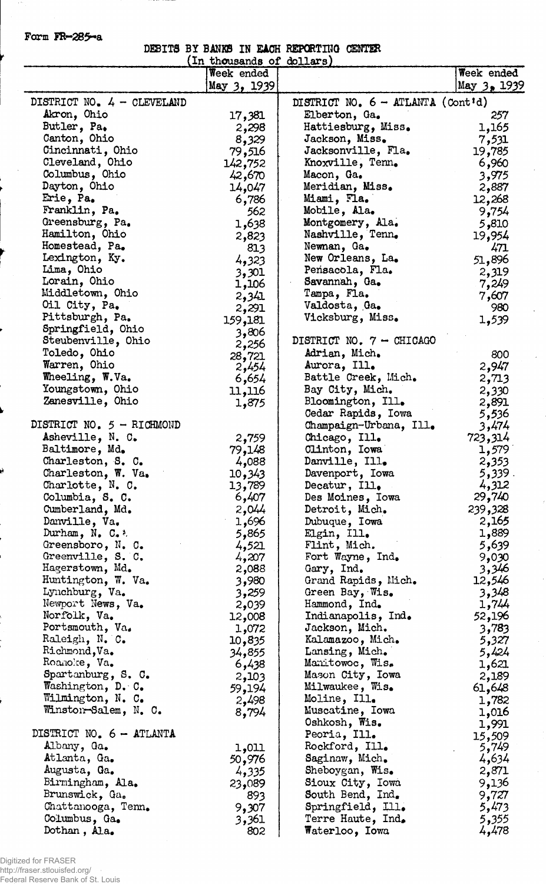Form FR-285-a

DEBITS BY BANKS IN EACH REPORTING CENTER

|                             | In thousands of dollars) |                                            |             |
|-----------------------------|--------------------------|--------------------------------------------|-------------|
|                             | Week ended               |                                            | Week ended  |
|                             | May 3, 1939              |                                            | May 3, 1939 |
| DISTRICT NO. 4 - CLEVELAND  |                          | DISTRICT NO. $6 - \text{ATLANTA}$ (Cont'd) |             |
| Akron, Ohio                 | 17,381                   | Elberton, Ga.                              | 257         |
| Butler, Pa.                 | 2,298                    | Hattiesburg, Miss.                         | 1,165       |
| Canton, Ohio                | 8,329                    | Jackson, Miss.                             | 7,531       |
| Cincinnati, Ohio            | 79,516                   | Jacksonville, Fla.                         | 19,785      |
| Cleveland, Ohio             | 142,752                  | Knoxville, Tenn.                           | 6,960       |
| Columbus, Ohio              | 42,670                   | Macon, Ga.                                 | 3,975       |
| Dayton, Ohio                | 14,047                   | Meridian, Miss.                            | 2,887       |
| Erie, Pa.                   | 6,786                    | Miami, Fla.                                | 12,268      |
| Franklin, Pa.               | 562                      | Mobile, Ala.                               | 9,754       |
| Greensburg, Pa.             | 1,638                    | Montgomery, Ala.                           | 5,810       |
| Hamilton, Ohio              |                          | Nashville, Tenn.                           | 19,954      |
| Homestead, Pa.              | 2,823                    | Newnan, Ga.                                | 471         |
| Lexington, Ky.              | 813                      | New Orleans, La.                           |             |
| Lima, Ohio                  | 4,323                    | Pensacola, Fla.                            | 51,896      |
| Lorain, Ohio                | 3,301                    | Savannah, Ga.                              | 2,319       |
| Middletown, Ohio            | 1,106                    | Tampa, Fla.                                | 7,249       |
| Oil City, Pa.               | 2,341                    | Valdosta, Ga.                              | 7,607       |
| Pittsburgh, Pa.             | 2,291                    | Vicksburg, Miss.                           | 980         |
| Springfield, Ohio           | 159,181                  |                                            | 1,539       |
| Steubenville, Ohio          | 3,806                    | DISTRICT NO. 7 - CHICAGO                   |             |
|                             | 2,256                    |                                            |             |
| Toledo, Ohio                | 28,721                   | Adrian, Mich.                              | 800         |
| Warren, Ohio                | 2,454                    | Aurora, Ill.                               | 2,947       |
| Wheeling, W.Va.             | 6,654                    | Battle Creek, Mich.                        | 2,713       |
| Youngstown, Ohio            | 11,116                   | Bay City, Mich.                            | 2,330       |
| Zanesville, Ohio            | 1,875                    | Bloomington, Ill.                          | 2,891       |
|                             |                          | Cedar Rapids, Iowa                         | 5,536       |
| DISTRICT NO. $5 - RICHMOND$ |                          | Champaign-Urbana, Ill.                     | 3,474       |
| Asheville, N. C.            | 2,759                    | Chicago, Ill.                              | 723,314     |
| Baltimore, Md.              | 79,148                   | Clinton, Iowa                              | 1,579       |
| Charleston, S. C.           | 4,088                    | Danville, Ill.                             | 2,353       |
| Charleston, W. Va.          | 10,343                   | Davenport, Iowa                            | 5,339.      |
| Charlotte, N. C.            | 13,789                   | Decatur, Ill.                              | 4,312       |
| Columbia, S. C.             | 6,407                    | Des Moines, Iowa                           | 29,740      |
| Cumberland, Md.             | 2,044                    | Detroit, Mich.                             | 239,328     |
| Danville, Va.               | 1,696                    | Dubuque, Iowa                              | 2,165       |
| Durham, $N_e$ C. $\lambda$  | 5,865                    | Elgin, Ill.                                | 1,889       |
| Greensboro, N. C.           | 4,521                    | Flint, Mich.                               | 5,639       |
| Greenville, S. C.           | 4,207                    | Fort Wayne, Ind.                           | 9,030       |
| Hagerstown, Md.             | 2,088                    | Gary, Ind.                                 | 3,346       |
| Huntington, W. Va.          | 3,980                    | Grand Rapids, Mich.                        | 12,546      |
| Lynchburg, Va.              | 3,259                    | Green Bay, Wis.                            | 3,348       |
| Newport News, Va.           | 2,039                    | Hammond, Ind.                              | 1,744       |
| Norfolk, Va.                | 12,008                   | Indianapolis, Ind.                         | 52,196      |
| Portsmouth, Va.             | 1,072                    | Jackson, Mich.                             | 3,783       |
| Raleigh, N. C.              | 10,835                   | Kalamazoo, Mich.                           | 5,327       |
| Richmond, Va.               | 34,855                   | Lansing, Mich.                             | 5,424       |
| Roanoke, Va.                | 6,438                    | Manitowoc, Wis.                            | 1,621       |
| Spartanburg, S. C.          | 2,103                    | Mason City, Iowa                           | 2,189       |
| Washington, D. C.           | 59,194                   | Milwaukee, Wis.                            | 61,648      |
| Wilmington, N. C.           | 2,498                    | Moline, Ill.                               | 1,782       |
| Winston-Salem, N. C.        | 8,794                    | Muscatine, Iowa                            | 1,016       |
|                             |                          | Oshkosh, Wis.                              | 1,991       |
| DISTRICT NO. 6 - ATLANTA    |                          | Peoria, Ill.                               | 15,509      |
| Albany, Ga.                 | 1,011                    | Rockford, Ill.                             | 5,749       |
| Atlanta, Ga.                | 50,976                   | Saginaw, Mich.                             | 4,634       |
| Augusta, Ga.                | 4,335                    | Sheboygan, Wis.                            | 2,871       |
| Birmingham, Ala.            | 23,089                   | Sioux City, Iowa                           | 9,136       |
| Brunswick, Ga.              | 893                      | South Bend, Ind.                           | 9,727       |
| Chattanooga, Tenn.          | 9,307                    | Springfield, Ill.                          | 5,473       |
| Columbus, Ga.               | 3,361                    | Terre Haute, Ind.                          | 5,355       |
| Dothan, Ala.                | 802                      | Waterloo, Iowa                             | 4,478       |

 $\ddot{\phantom{a}}$ 

Digitized for FRASER http://fraser.stlouisfed.org/ Federal Reserve Bank of St. Louis

ý